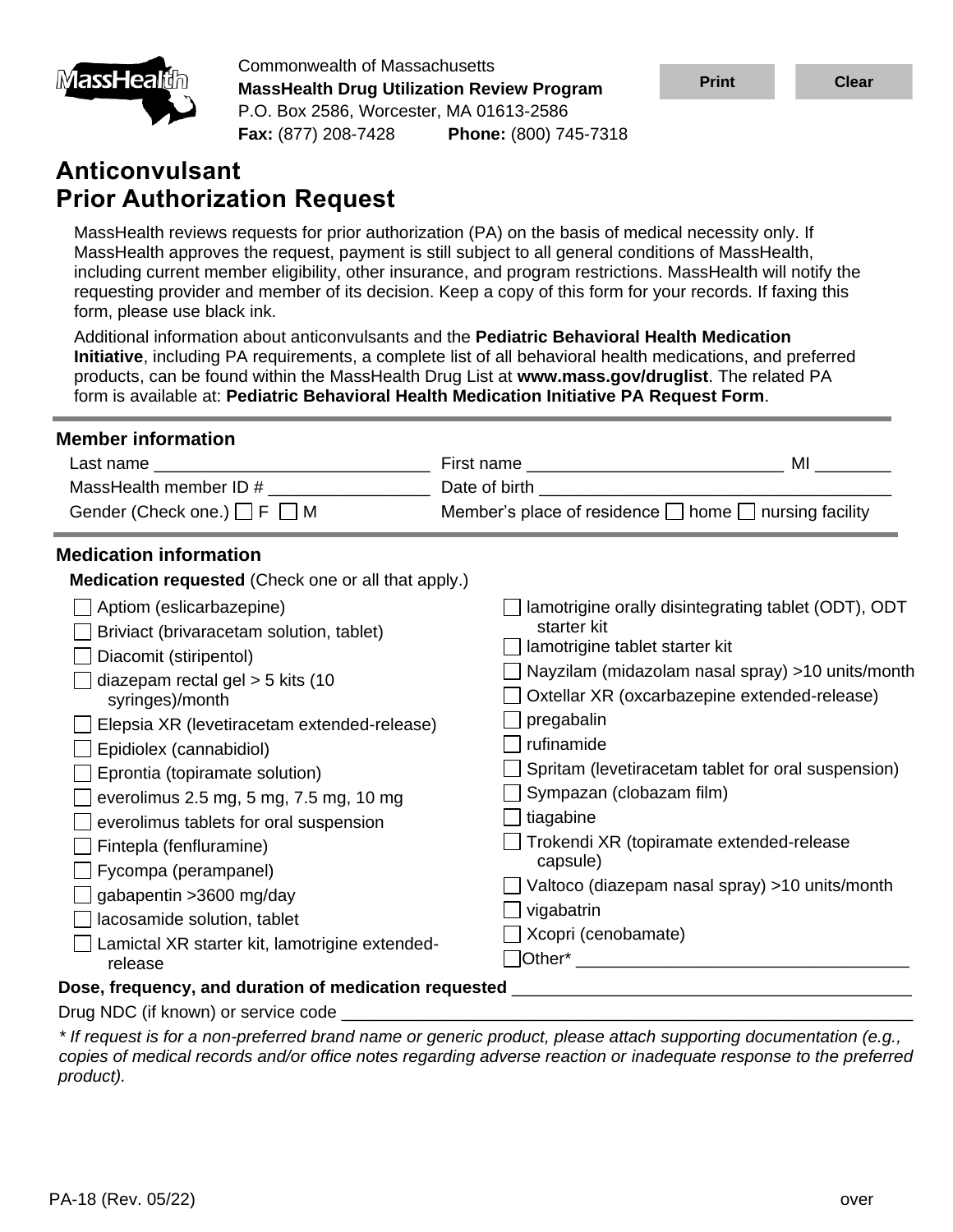

Commonwealth of Massachusetts **MassHealth Drug Utilization Review Program** P.O. Box 2586, Worcester, MA 01613-2586 **Fax:** (877) 208-7428 **Phone:** (800) 745-7318

# **Anticonvulsant Prior Authorization Request**

MassHealth reviews requests for prior authorization (PA) on the basis of medical necessity only. If MassHealth approves the request, payment is still subject to all general conditions of MassHealth, including current member eligibility, other insurance, and program restrictions. MassHealth will notify the requesting provider and member of its decision. Keep a copy of this form for your records. If faxing this form, please use black ink.

Additional information about anticonvulsants and the **Pediatric Behavioral Health Medication Initiative**, including PA requirements, a complete list of all behavioral health medications, and preferred products, can be found within the MassHealth Drug List at **www.mass.gov/druglist**. The related PA form is available at: **Pediatric Behavioral [Health Medication Initiative PA Request Form](https://mhdl.pharmacy.services.conduent.com/MHDL/pubpa.do)**.

| <b>Member information</b>                                                                                                                                                                                                                                                                                                                                                                                                                                                                                                                                                                   |                                                                                                                                                                                                                               |                                                                                                                                                                                                                                                                                                             |
|---------------------------------------------------------------------------------------------------------------------------------------------------------------------------------------------------------------------------------------------------------------------------------------------------------------------------------------------------------------------------------------------------------------------------------------------------------------------------------------------------------------------------------------------------------------------------------------------|-------------------------------------------------------------------------------------------------------------------------------------------------------------------------------------------------------------------------------|-------------------------------------------------------------------------------------------------------------------------------------------------------------------------------------------------------------------------------------------------------------------------------------------------------------|
|                                                                                                                                                                                                                                                                                                                                                                                                                                                                                                                                                                                             |                                                                                                                                                                                                                               |                                                                                                                                                                                                                                                                                                             |
| MassHealth member ID # ___________________                                                                                                                                                                                                                                                                                                                                                                                                                                                                                                                                                  | Date of birth the contract of the contract of the contract of the contract of the contract of the contract of the contract of the contract of the contract of the contract of the contract of the contract of the contract of |                                                                                                                                                                                                                                                                                                             |
| Gender (Check one.) $\Box$ F $\Box$ M                                                                                                                                                                                                                                                                                                                                                                                                                                                                                                                                                       | Member's place of residence □ home □ nursing facility                                                                                                                                                                         |                                                                                                                                                                                                                                                                                                             |
| <b>Medication information</b>                                                                                                                                                                                                                                                                                                                                                                                                                                                                                                                                                               |                                                                                                                                                                                                                               |                                                                                                                                                                                                                                                                                                             |
| <b>Medication requested</b> (Check one or all that apply.)                                                                                                                                                                                                                                                                                                                                                                                                                                                                                                                                  |                                                                                                                                                                                                                               |                                                                                                                                                                                                                                                                                                             |
| Aptiom (eslicarbazepine)<br>Briviact (brivaracetam solution, tablet)<br>Diacomit (stiripentol)<br>diazepam rectal gel $>$ 5 kits (10<br>syringes)/month<br>Elepsia XR (levetiracetam extended-release)<br>Epidiolex (cannabidiol)<br>Eprontia (topiramate solution)<br>everolimus 2.5 mg, 5 mg, 7.5 mg, 10 mg<br>everolimus tablets for oral suspension<br>Fintepla (fenfluramine)<br>Fycompa (perampanel)<br>gabapentin > 3600 mg/day<br>lacosamide solution, tablet<br>Lamictal XR starter kit, lamotrigine extended-<br>release<br>Dose, frequency, and duration of medication requested | starter kit<br>lamotrigine tablet starter kit<br>pregabalin<br>rufinamide<br>Sympazan (clobazam film)<br>tiagabine<br>capsule)<br>vigabatrin<br>Xcopri (cenobamate)                                                           | lamotrigine orally disintegrating tablet (ODT), ODT<br>Nayzilam (midazolam nasal spray) >10 units/month<br>Oxtellar XR (oxcarbazepine extended-release)<br>Spritam (levetiracetam tablet for oral suspension)<br>Trokendi XR (topiramate extended-release<br>Valtoco (diazepam nasal spray) >10 units/month |
| Drug NDC (if known) or service code _________                                                                                                                                                                                                                                                                                                                                                                                                                                                                                                                                               |                                                                                                                                                                                                                               |                                                                                                                                                                                                                                                                                                             |

*\* If request is for a non-preferred brand name or generic product, please attach supporting documentation (e.g., copies of medical records and/or office notes regarding adverse reaction or inadequate response to the preferred product).*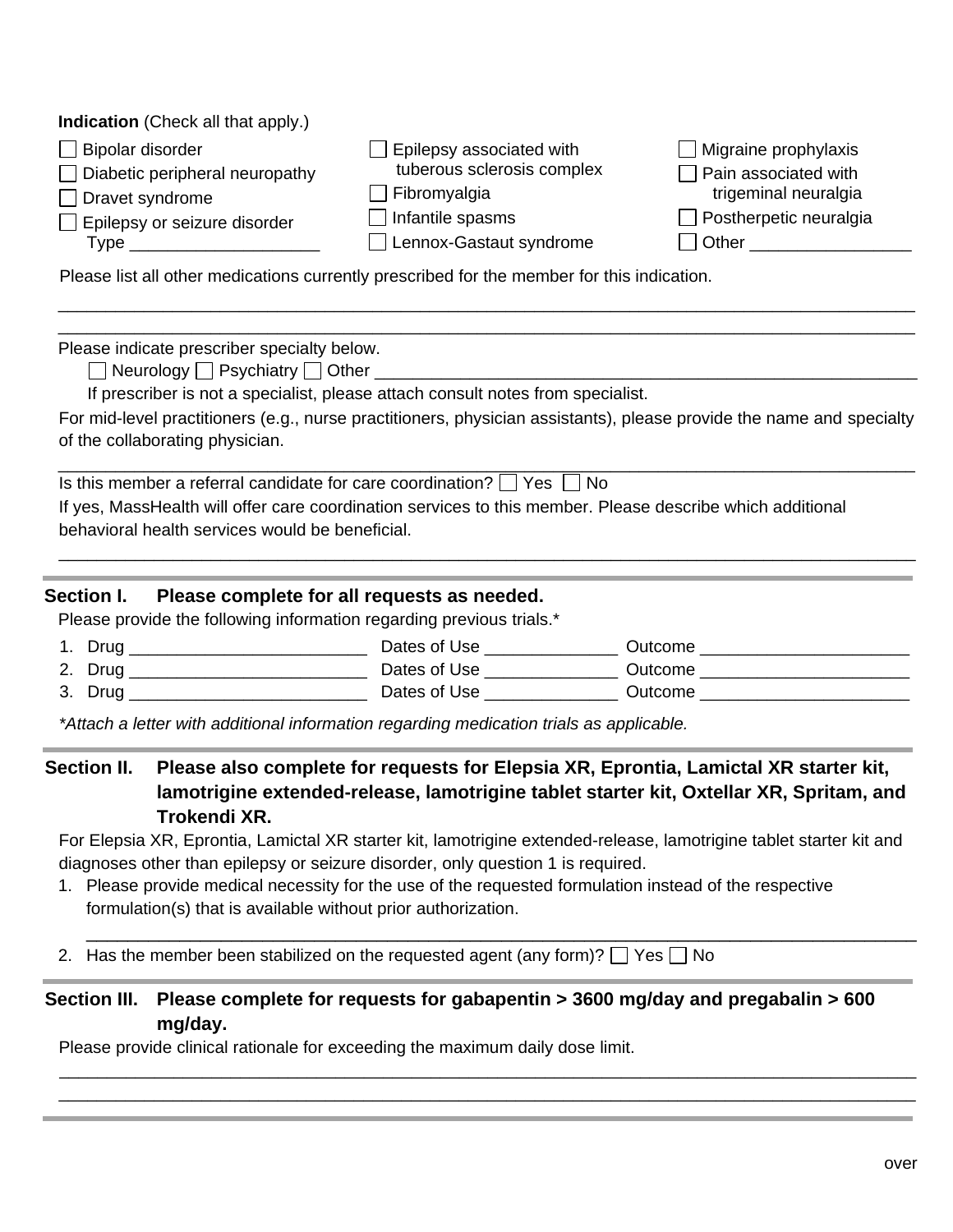| <b>Indication</b> (Check all that apply.) |                            |                               |
|-------------------------------------------|----------------------------|-------------------------------|
| □ Bipolar disorder                        | Epilepsy associated with   | $\Box$ Migraine prophylaxis   |
| $\Box$ Diabetic peripheral neuropathy     | tuberous sclerosis complex | $\Box$ Pain associated with   |
| $\Box$ Dravet syndrome                    | Fibromyalgia               | trigeminal neuralgia          |
| Epilepsy or seizure disorder              | Infantile spasms           | $\Box$ Postherpetic neuralgia |
| Type j                                    | Lennox-Gastaut syndrome    | Other                         |
|                                           |                            |                               |

Please list all other medications currently prescribed for the member for this indication.

Please indicate prescriber specialty below.

 $\Box$  Neurology  $\Box$  Psychiatry  $\Box$  Other  $\Box$ 

If prescriber is not a specialist, please attach consult notes from specialist.

For mid-level practitioners (e.g., nurse practitioners, physician assistants), please provide the name and specialty of the collaborating physician.

\_\_\_\_\_\_\_\_\_\_\_\_\_\_\_\_\_\_\_\_\_\_\_\_\_\_\_\_\_\_\_\_\_\_\_\_\_\_\_\_\_\_\_\_\_\_\_\_\_\_\_\_\_\_\_\_\_\_\_\_\_\_\_\_\_\_\_\_\_\_\_\_\_\_\_\_\_\_\_\_\_\_\_\_\_\_\_\_\_\_

\_\_\_\_\_\_\_\_\_\_\_\_\_\_\_\_\_\_\_\_\_\_\_\_\_\_\_\_\_\_\_\_\_\_\_\_\_\_\_\_\_\_\_\_\_\_\_\_\_\_\_\_\_\_\_\_\_\_\_\_\_\_\_\_\_\_\_\_\_\_\_\_\_\_\_\_\_\_\_\_\_\_\_\_\_\_\_\_\_\_

\_\_\_\_\_\_\_\_\_\_\_\_\_\_\_\_\_\_\_\_\_\_\_\_\_\_\_\_\_\_\_\_\_\_\_\_\_\_\_\_\_\_\_\_\_\_\_\_\_\_\_\_\_\_\_\_\_\_\_\_\_\_\_\_\_\_\_\_\_\_\_\_\_\_\_\_\_\_\_\_\_\_\_\_\_\_\_\_\_\_ \_\_\_\_\_\_\_\_\_\_\_\_\_\_\_\_\_\_\_\_\_\_\_\_\_\_\_\_\_\_\_\_\_\_\_\_\_\_\_\_\_\_\_\_\_\_\_\_\_\_\_\_\_\_\_\_\_\_\_\_\_\_\_\_\_\_\_\_\_\_\_\_\_\_\_\_\_\_\_\_\_\_\_\_\_\_\_\_\_\_

Is this member a referral candidate for care coordination?  $\Box$  Yes  $\Box$  No

If yes, MassHealth will offer care coordination services to this member. Please describe which additional behavioral health services would be beneficial.

#### **Section I. Please complete for all requests as needed.**

Please provide the following information regarding previous trials.<sup>\*</sup>

- 1. Drug \_\_\_\_\_\_\_\_\_\_\_\_\_\_\_\_\_\_\_\_\_\_\_\_\_ Dates of Use \_\_\_\_\_\_\_\_\_\_\_\_\_\_ Outcome \_\_\_\_\_\_\_\_\_\_\_\_\_\_\_\_\_\_\_\_\_\_ 2. Drug \_\_\_\_\_\_\_\_\_\_\_\_\_\_\_\_\_\_\_\_\_\_\_\_\_\_\_\_\_\_\_\_\_\_ Dates of Use \_\_\_\_\_\_\_\_\_\_\_\_\_\_\_\_\_\_\_\_\_\_\_\_ Outcome \_\_\_\_\_\_\_\_\_\_\_\_\_\_\_\_\_\_\_\_\_ 3. Drug \_\_\_\_\_\_\_\_\_\_\_\_\_\_\_\_\_\_\_\_\_\_\_\_\_ Dates of Use \_\_\_\_\_\_\_\_\_\_\_\_\_\_ Outcome \_\_\_\_\_\_\_\_\_\_\_\_\_\_\_\_\_\_\_\_\_\_
- *\*Attach a letter with additional information regarding medication trials as applicable.*

**Section II. Please also complete for requests for Elepsia XR, Eprontia, Lamictal XR starter kit, lamotrigine extended-release, lamotrigine tablet starter kit, Oxtellar XR, Spritam, and Trokendi XR.**

For Elepsia XR, Eprontia, Lamictal XR starter kit, lamotrigine extended-release, lamotrigine tablet starter kit and diagnoses other than epilepsy or seizure disorder, only question 1 is required.

\_\_\_\_\_\_\_\_\_\_\_\_\_\_\_\_\_\_\_\_\_\_\_\_\_\_\_\_\_\_\_\_\_\_\_\_\_\_\_\_\_\_\_\_\_\_\_\_\_\_\_\_\_\_\_\_\_\_\_\_\_\_\_\_\_\_\_\_\_\_\_\_\_\_\_\_\_\_\_\_

1. Please provide medical necessity for the use of the requested formulation instead of the respective formulation(s) that is available without prior authorization.

2. Has the member been stabilized on the requested agent (any form)?  $\Box$  Yes  $\Box$  No

## **Section III. Please complete for requests for gabapentin > 3600 mg/day and pregabalin > 600 mg/day.**

\_\_\_\_\_\_\_\_\_\_\_\_\_\_\_\_\_\_\_\_\_\_\_\_\_\_\_\_\_\_\_\_\_\_\_\_\_\_\_\_\_\_\_\_\_\_\_\_\_\_\_\_\_\_\_\_\_\_\_\_\_\_\_\_\_\_\_\_\_\_\_\_\_\_\_\_\_\_\_\_\_\_\_\_\_\_\_\_\_\_ \_\_\_\_\_\_\_\_\_\_\_\_\_\_\_\_\_\_\_\_\_\_\_\_\_\_\_\_\_\_\_\_\_\_\_\_\_\_\_\_\_\_\_\_\_\_\_\_\_\_\_\_\_\_\_\_\_\_\_\_\_\_\_\_\_\_\_\_\_\_\_\_\_\_\_\_\_\_\_\_\_\_\_\_\_\_\_\_\_\_

Please provide clinical rationale for exceeding the maximum daily dose limit.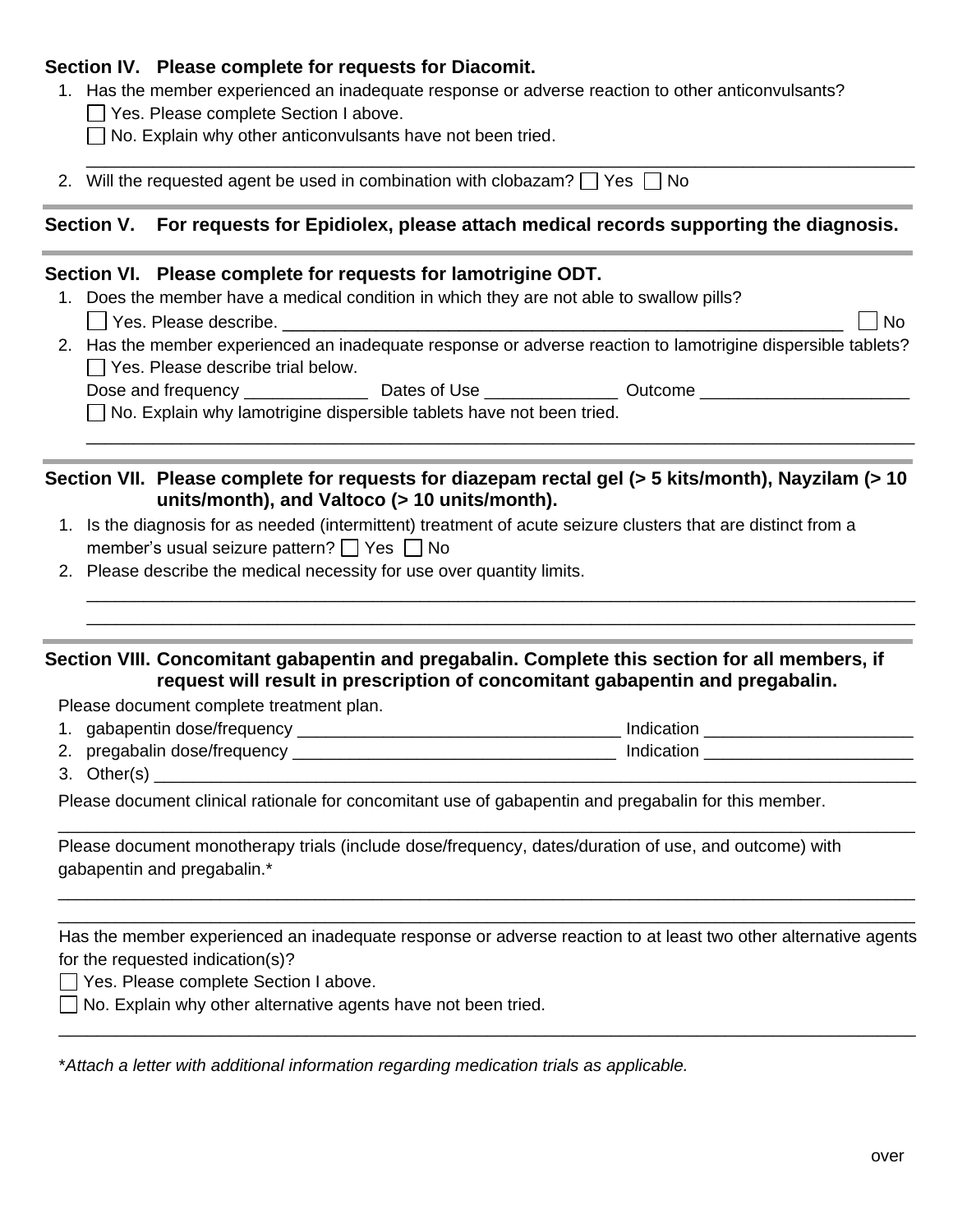#### **Section IV. Please complete for requests for Diacomit.**

- 1. Has the member experienced an inadequate response or adverse reaction to other anticonvulsants?
	- Yes. Please complete Section I above.
	- $\Box$  No. Explain why other anticonvulsants have not been tried.
- 2. Will the requested agent be used in combination with clobazam?  $\Box$  Yes  $\Box$  No

### **Section V. For requests for Epidiolex, please attach medical records supporting the diagnosis.**

\_\_\_\_\_\_\_\_\_\_\_\_\_\_\_\_\_\_\_\_\_\_\_\_\_\_\_\_\_\_\_\_\_\_\_\_\_\_\_\_\_\_\_\_\_\_\_\_\_\_\_\_\_\_\_\_\_\_\_\_\_\_\_\_\_\_\_\_\_\_\_\_\_\_\_\_\_\_\_\_\_\_\_\_\_\_\_

#### **Section VI. Please complete for requests for lamotrigine ODT.**

- 1. Does the member have a medical condition in which they are not able to swallow pills?
	- Yes. Please describe. \_\_\_\_\_\_\_\_\_\_\_\_\_\_\_\_\_\_\_\_\_\_\_\_\_\_\_\_\_\_\_\_\_\_\_\_\_\_\_\_\_\_\_\_\_\_\_\_\_\_\_\_\_\_ No
- 2. Has the member experienced an inadequate response or adverse reaction to lamotrigine dispersible tablets?  $\Box$  Yes. Please describe trial below.

\_\_\_\_\_\_\_\_\_\_\_\_\_\_\_\_\_\_\_\_\_\_\_\_\_\_\_\_\_\_\_\_\_\_\_\_\_\_\_\_\_\_\_\_\_\_\_\_\_\_\_\_\_\_\_\_\_\_\_\_\_\_\_\_\_\_\_\_\_\_\_\_\_\_\_\_\_\_\_\_\_\_\_\_\_\_\_

\_\_\_\_\_\_\_\_\_\_\_\_\_\_\_\_\_\_\_\_\_\_\_\_\_\_\_\_\_\_\_\_\_\_\_\_\_\_\_\_\_\_\_\_\_\_\_\_\_\_\_\_\_\_\_\_\_\_\_\_\_\_\_\_\_\_\_\_\_\_\_\_\_\_\_\_\_\_\_\_\_\_\_\_\_\_\_ \_\_\_\_\_\_\_\_\_\_\_\_\_\_\_\_\_\_\_\_\_\_\_\_\_\_\_\_\_\_\_\_\_\_\_\_\_\_\_\_\_\_\_\_\_\_\_\_\_\_\_\_\_\_\_\_\_\_\_\_\_\_\_\_\_\_\_\_\_\_\_\_\_\_\_\_\_\_\_\_\_\_\_\_\_\_\_

Dose and frequency \_\_\_\_\_\_\_\_\_\_\_\_\_\_\_\_\_\_\_\_ Dates of Use \_\_\_\_\_\_\_\_\_\_\_\_\_\_\_\_\_\_\_\_\_\_\_\_\_\_\_\_ Outcome \_\_\_\_\_\_\_\_\_\_\_\_\_\_\_\_\_\_\_\_

 $\Box$  No. Explain why lamotrigine dispersible tablets have not been tried.

#### **Section VII. Please complete for requests for diazepam rectal gel (> 5 kits/month), Nayzilam (> 10 units/month), and Valtoco (> 10 units/month).**

- 1. Is the diagnosis for as needed (intermittent) treatment of acute seizure clusters that are distinct from a member's usual seizure pattern?  $\Box$  Yes  $\Box$  No
- 2. Please describe the medical necessity for use over quantity limits.

#### **Section VIII. Concomitant gabapentin and pregabalin. Complete this section for all members, if request will result in prescription of concomitant gabapentin and pregabalin.**

Please document complete treatment plan.

1. gabapentin dose/frequency example and the set of the lindication distribution and the set of the set of the set of the set of the set of the set of the set of the set of the set of the set of the set of the set of the s

\_\_\_\_\_\_\_\_\_\_\_\_\_\_\_\_\_\_\_\_\_\_\_\_\_\_\_\_\_\_\_\_\_\_\_\_\_\_\_\_\_\_\_\_\_\_\_\_\_\_\_\_\_\_\_\_\_\_\_\_\_\_\_\_\_\_\_\_\_\_\_\_\_\_\_\_\_\_\_\_\_\_\_\_\_\_\_\_\_\_

- 2. pregabalin dose/frequency \_\_\_\_\_\_\_\_\_\_\_\_\_\_\_\_\_\_\_\_\_\_\_\_\_\_\_\_\_\_\_\_\_\_ Indication \_\_\_\_\_\_\_\_\_\_\_\_\_\_\_\_\_\_\_\_\_\_
- $3. \quad$  Other(s)

Please document clinical rationale for concomitant use of gabapentin and pregabalin for this member.

Please document monotherapy trials (include dose/frequency, dates/duration of use, and outcome) with gabapentin and pregabalin.\*

Has the member experienced an inadequate response or adverse reaction to at least two other alternative agents for the requested indication(s)?

\_\_\_\_\_\_\_\_\_\_\_\_\_\_\_\_\_\_\_\_\_\_\_\_\_\_\_\_\_\_\_\_\_\_\_\_\_\_\_\_\_\_\_\_\_\_\_\_\_\_\_\_\_\_\_\_\_\_\_\_\_\_\_\_\_\_\_\_\_\_\_\_\_\_\_\_\_\_\_\_\_\_\_\_\_\_\_\_\_\_

\_\_\_\_\_\_\_\_\_\_\_\_\_\_\_\_\_\_\_\_\_\_\_\_\_\_\_\_\_\_\_\_\_\_\_\_\_\_\_\_\_\_\_\_\_\_\_\_\_\_\_\_\_\_\_\_\_\_\_\_\_\_\_\_\_\_\_\_\_\_\_\_\_\_\_\_\_\_\_\_\_\_\_\_\_\_\_\_\_\_ \_\_\_\_\_\_\_\_\_\_\_\_\_\_\_\_\_\_\_\_\_\_\_\_\_\_\_\_\_\_\_\_\_\_\_\_\_\_\_\_\_\_\_\_\_\_\_\_\_\_\_\_\_\_\_\_\_\_\_\_\_\_\_\_\_\_\_\_\_\_\_\_\_\_\_\_\_\_\_\_\_\_\_\_\_\_\_\_\_\_

Yes. Please complete Section I above.

 $\Box$  No. Explain why other alternative agents have not been tried.

\**Attach a letter with additional information regarding medication trials as applicable.*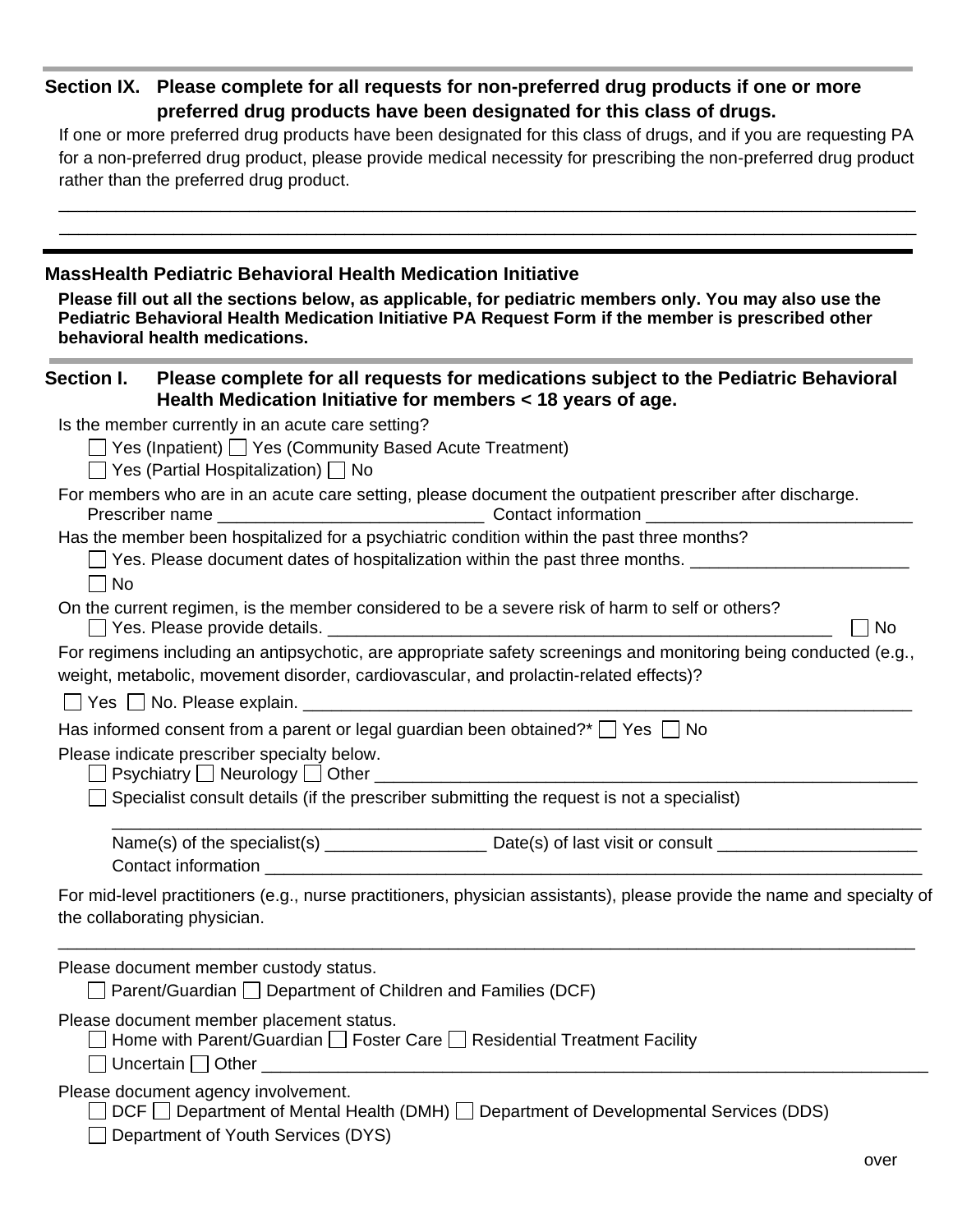## **Section IX. Please complete for all requests for non-preferred drug products if one or more preferred drug products have been designated for this class of drugs.**

If one or more preferred drug products have been designated for this class of drugs, and if you are requesting PA for a non-preferred drug product, please provide medical necessity for prescribing the non-preferred drug product rather than the preferred drug product.

| <b>MassHealth Pediatric Behavioral Health Medication Initiative</b><br>Please fill out all the sections below, as applicable, for pediatric members only. You may also use the<br>Pediatric Behavioral Health Medication Initiative PA Request Form if the member is prescribed other<br>behavioral health medications. |
|-------------------------------------------------------------------------------------------------------------------------------------------------------------------------------------------------------------------------------------------------------------------------------------------------------------------------|
| Section I.<br>Please complete for all requests for medications subject to the Pediatric Behavioral<br>Health Medication Initiative for members < 18 years of age.                                                                                                                                                       |
| Is the member currently in an acute care setting?<br>$\Box$ Yes (Inpatient) $\Box$ Yes (Community Based Acute Treatment)<br>$\Box$ Yes (Partial Hospitalization) $\Box$ No                                                                                                                                              |
| For members who are in an acute care setting, please document the outpatient prescriber after discharge.                                                                                                                                                                                                                |
| Has the member been hospitalized for a psychiatric condition within the past three months?<br>Yes. Please document dates of hospitalization within the past three months.<br>    No                                                                                                                                     |
| On the current regimen, is the member considered to be a severe risk of harm to self or others?<br><b>No</b>                                                                                                                                                                                                            |
| For regimens including an antipsychotic, are appropriate safety screenings and monitoring being conducted (e.g.,<br>weight, metabolic, movement disorder, cardiovascular, and prolactin-related effects)?                                                                                                               |
| Has informed consent from a parent or legal guardian been obtained? $\Box$ Yes $\Box$ No                                                                                                                                                                                                                                |
| Please indicate prescriber specialty below.                                                                                                                                                                                                                                                                             |
| Specialist consult details (if the prescriber submitting the request is not a specialist)                                                                                                                                                                                                                               |
|                                                                                                                                                                                                                                                                                                                         |
| For mid-level practitioners (e.g., nurse practitioners, physician assistants), please provide the name and specialty of<br>the collaborating physician.                                                                                                                                                                 |
| Please document member custody status.<br>Parent/Guardian □ Department of Children and Families (DCF)                                                                                                                                                                                                                   |
| Please document member placement status.<br>Home with Parent/Guardian $\Box$ Foster Care $\Box$ Residential Treatment Facility                                                                                                                                                                                          |
| Please document agency involvement.<br>DCF □ Department of Mental Health (DMH) □ Department of Developmental Services (DDS)<br>Department of Youth Services (DYS)                                                                                                                                                       |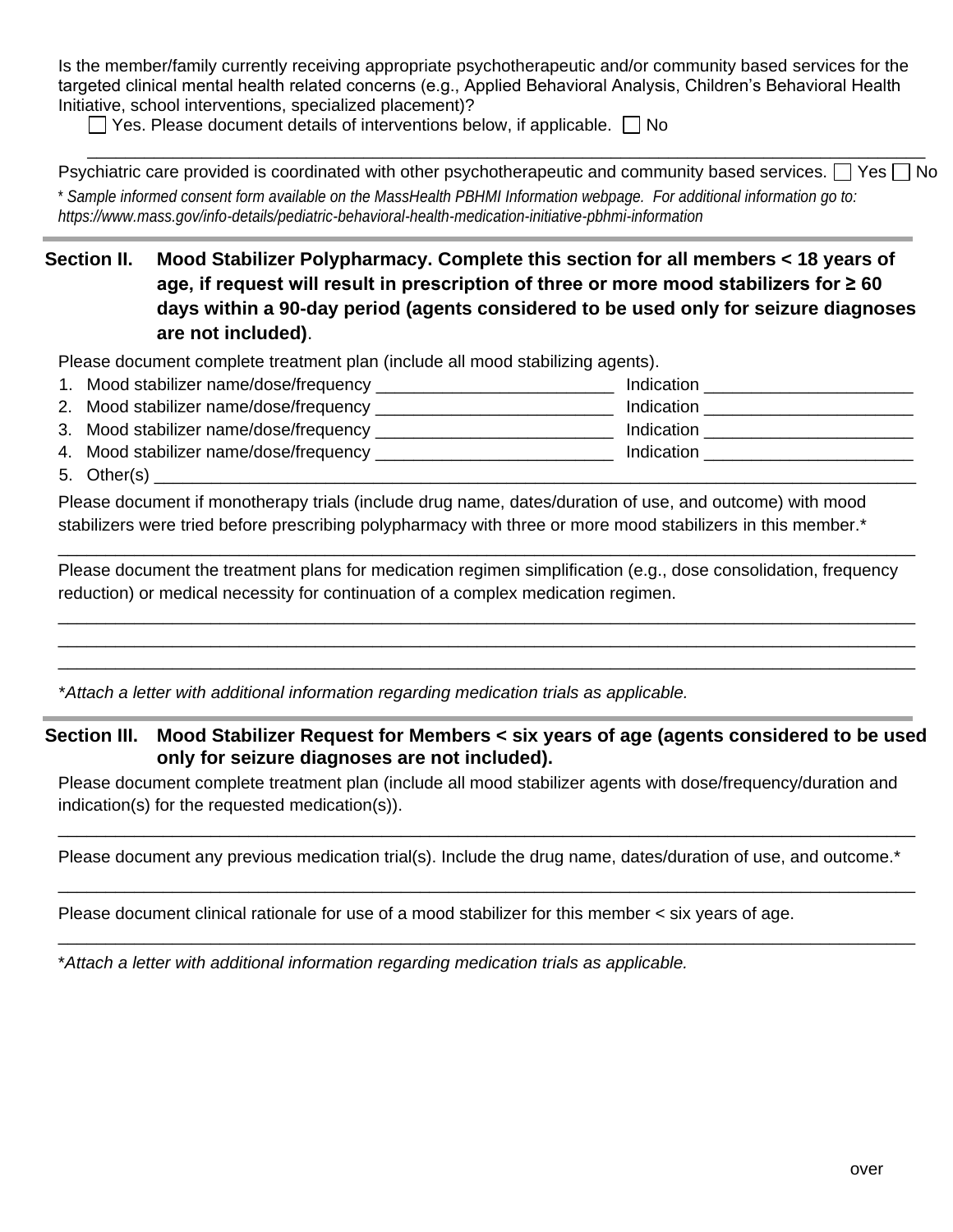Is the member/family currently receiving appropriate psychotherapeutic and/or community based services for the targeted clinical mental health related concerns (e.g., Applied Behavioral Analysis, Children's Behavioral Health Initiative, school interventions, specialized placement)?

 $\Box$  Yes. Please document details of interventions below, if applicable.  $\Box$  No

Psychiatric care provided is coordinated with other psychotherapeutic and community based services.  $\Box$  Yes  $\Box$  No \* *Sample informed consent form available on the MassHealth PBHMI Information webpage. For additional information go to: https://www.mass.gov/info-details/pediatric-behavioral-health-medication-initiative-pbhmi-information*

\_\_\_\_\_\_\_\_\_\_\_\_\_\_\_\_\_\_\_\_\_\_\_\_\_\_\_\_\_\_\_\_\_\_\_\_\_\_\_\_\_\_\_\_\_\_\_\_\_\_\_\_\_\_\_\_\_\_\_\_\_\_\_\_\_\_\_\_\_\_\_\_\_\_\_\_\_\_\_\_\_\_\_\_\_\_\_\_

**Section II. Mood Stabilizer Polypharmacy. Complete this section for all members < 18 years of age, if request will result in prescription of three or more mood stabilizers for ≥ 60 days within a 90-day period (agents considered to be used only for seizure diagnoses are not included)**.

Please document complete treatment plan (include all mood stabilizing agents).

|                                        | Indication |
|----------------------------------------|------------|
|                                        | Indication |
| 3. Mood stabilizer name/dose/frequency | Indication |
|                                        | Indication |
| 5. Other(s)                            |            |

Please document if monotherapy trials (include drug name, dates/duration of use, and outcome) with mood stabilizers were tried before prescribing polypharmacy with three or more mood stabilizers in this member.\*

Please document the treatment plans for medication regimen simplification (e.g., dose consolidation, frequency reduction) or medical necessity for continuation of a complex medication regimen.

\_\_\_\_\_\_\_\_\_\_\_\_\_\_\_\_\_\_\_\_\_\_\_\_\_\_\_\_\_\_\_\_\_\_\_\_\_\_\_\_\_\_\_\_\_\_\_\_\_\_\_\_\_\_\_\_\_\_\_\_\_\_\_\_\_\_\_\_\_\_\_\_\_\_\_\_\_\_\_\_\_\_\_\_\_\_\_\_\_\_

\_\_\_\_\_\_\_\_\_\_\_\_\_\_\_\_\_\_\_\_\_\_\_\_\_\_\_\_\_\_\_\_\_\_\_\_\_\_\_\_\_\_\_\_\_\_\_\_\_\_\_\_\_\_\_\_\_\_\_\_\_\_\_\_\_\_\_\_\_\_\_\_\_\_\_\_\_\_\_\_\_\_\_\_\_\_\_\_\_\_ \_\_\_\_\_\_\_\_\_\_\_\_\_\_\_\_\_\_\_\_\_\_\_\_\_\_\_\_\_\_\_\_\_\_\_\_\_\_\_\_\_\_\_\_\_\_\_\_\_\_\_\_\_\_\_\_\_\_\_\_\_\_\_\_\_\_\_\_\_\_\_\_\_\_\_\_\_\_\_\_\_\_\_\_\_\_\_\_\_\_ \_\_\_\_\_\_\_\_\_\_\_\_\_\_\_\_\_\_\_\_\_\_\_\_\_\_\_\_\_\_\_\_\_\_\_\_\_\_\_\_\_\_\_\_\_\_\_\_\_\_\_\_\_\_\_\_\_\_\_\_\_\_\_\_\_\_\_\_\_\_\_\_\_\_\_\_\_\_\_\_\_\_\_\_\_\_\_\_\_\_

\**Attach a letter with additional information regarding medication trials as applicable.*

**Section III. Mood Stabilizer Request for Members < six years of age (agents considered to be used only for seizure diagnoses are not included).**

Please document complete treatment plan (include all mood stabilizer agents with dose/frequency/duration and indication(s) for the requested medication(s)).

Please document any previous medication trial(s). Include the drug name, dates/duration of use, and outcome.<sup>\*</sup> \_\_\_\_\_\_\_\_\_\_\_\_\_\_\_\_\_\_\_\_\_\_\_\_\_\_\_\_\_\_\_\_\_\_\_\_\_\_\_\_\_\_\_\_\_\_\_\_\_\_\_\_\_\_\_\_\_\_\_\_\_\_\_\_\_\_\_\_\_\_\_\_\_\_\_\_\_\_\_\_\_\_\_\_\_\_\_\_\_\_

\_\_\_\_\_\_\_\_\_\_\_\_\_\_\_\_\_\_\_\_\_\_\_\_\_\_\_\_\_\_\_\_\_\_\_\_\_\_\_\_\_\_\_\_\_\_\_\_\_\_\_\_\_\_\_\_\_\_\_\_\_\_\_\_\_\_\_\_\_\_\_\_\_\_\_\_\_\_\_\_\_\_\_\_\_\_\_\_\_\_

\_\_\_\_\_\_\_\_\_\_\_\_\_\_\_\_\_\_\_\_\_\_\_\_\_\_\_\_\_\_\_\_\_\_\_\_\_\_\_\_\_\_\_\_\_\_\_\_\_\_\_\_\_\_\_\_\_\_\_\_\_\_\_\_\_\_\_\_\_\_\_\_\_\_\_\_\_\_\_\_\_\_\_\_\_\_\_\_\_\_

Please document clinical rationale for use of a mood stabilizer for this member < six years of age.

\**Attach a letter with additional information regarding medication trials as applicable.*